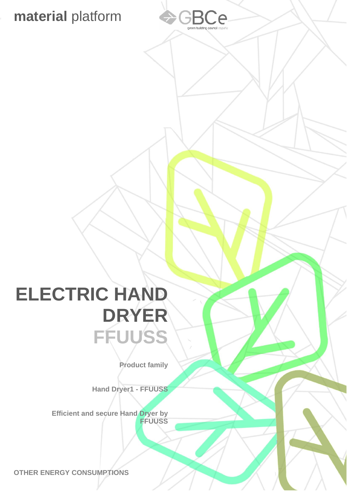## **material** platform



## **ELECTRIC HAND DRYER FFUUSS**

**Product family**

**Hand Dryer1 - FFUUSS** 

**Efficient and secure Hand Dryer by FFUUSS** 

**OTHER ENERGY CONSUMPTIONS**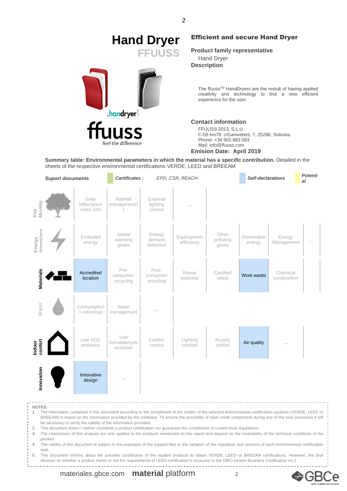# **Hand Dryer** Efficient and secure Hand Dryer



**FFUUSS Product family representative** Hand Dryer

**Description**

The ffuuss™ HandDryers are the restult of having applied creativity and technology to find a new efficient experience for the user.

#### **Contact information**

FFUUSS 2013, S.L.U. C-55 km79. c/Ganiveters, 7, 25280, Solsona Phone: +34 902 883 083 Mail: info@ffuuss.com

#### **Emision Date: April 2019**

**Summary table: Environmental parameters in which the material has a specific contribution.** Detailed in the sheets of the respective environmental certifications VERDE, LEED and BREEAM

|                      | <b>Suport documents</b>                                                                                                                                                                                                                                                                                                                                                                                                                                                                                                                       |                                   | Cartificates:                   |                                 | EPD, CSR, REACH          |                             | Self-declarations   |                         | <b>Potenti</b><br>al |
|----------------------|-----------------------------------------------------------------------------------------------------------------------------------------------------------------------------------------------------------------------------------------------------------------------------------------------------------------------------------------------------------------------------------------------------------------------------------------------------------------------------------------------------------------------------------------------|-----------------------------------|---------------------------------|---------------------------------|--------------------------|-----------------------------|---------------------|-------------------------|----------------------|
| Plot<br>Movility     |                                                                                                                                                                                                                                                                                                                                                                                                                                                                                                                                               | Solar<br>reflectance<br>index SRI | Rainfall<br>managenmen          | External<br>lighting<br>control |                          |                             |                     |                         |                      |
| Energy<br>Atmosphere |                                                                                                                                                                                                                                                                                                                                                                                                                                                                                                                                               | Embeded<br>energy                 | Global<br>warming<br>gases      | Energy<br>demand<br>reduction   | Equimpment<br>efficiency | Other<br>polluting<br>gases | Renewable<br>energy | Energy<br>Management    |                      |
| <b>Materials</b>     |                                                                                                                                                                                                                                                                                                                                                                                                                                                                                                                                               | Accredited<br>location            | Pre-<br>consumen<br>recycling   | Post-<br>consumen<br>recycling  | Reuse<br>potential       | Certified<br>wood           | Work waste          | Chemical<br>composition |                      |
| <b>Water</b>         |                                                                                                                                                                                                                                                                                                                                                                                                                                                                                                                                               | Consumption<br>< reference        | Water<br>management             |                                 |                          |                             |                     |                         |                      |
| Indoor<br>confort    |                                                                                                                                                                                                                                                                                                                                                                                                                                                                                                                                               | Low VOC<br>emission               | Low<br>formaldehyde<br>emission | Confort<br>control              | Lighting<br>confortl     | Acustic<br>confort          | Air quality         |                         |                      |
| Innovation           |                                                                                                                                                                                                                                                                                                                                                                                                                                                                                                                                               | Innovative<br>design              |                                 |                                 |                          |                             |                     |                         |                      |
| 2.                   | <b>NOTES:</b><br>1. The information contained in this document according to the compliment of the credits of the selected environmental certification systems (VERDE, LEED or<br>BREEAM) is based on the information provided by the company. To ensure the possibility of each credit compliment during any of the seal processes it will<br>be necessary to verify the validity of the information provided.<br>This document doesn't neither constitute a product certification nor guarantee the compliment of current local regulations. |                                   |                                 |                                 |                          |                             |                     |                         |                      |

3. The conclusions of this analysis are only applied to the products mentioned on this report and depend on the invariability of the technical conditions of the product.

4. The validity of this document is subject to the expiration of the support files or the variation of the regulation and versions of each environmental certification seal.

5. This document informs about the possible contribution of the studied products to obtain VERDE, LEED or BREEAM certifications. However, the final decision on whether a product meets or not the requirements of LEED certification is exclusive to the GBCI (Green Business Certification Inc.)

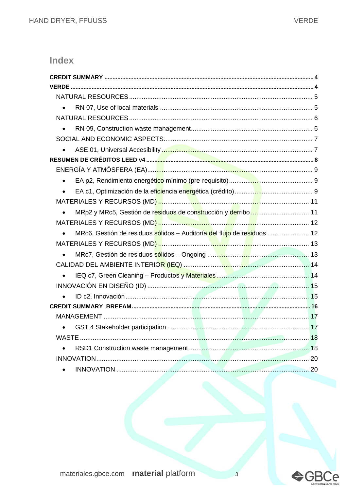### Index

| $\bullet$                                                                            |  |
|--------------------------------------------------------------------------------------|--|
|                                                                                      |  |
|                                                                                      |  |
|                                                                                      |  |
|                                                                                      |  |
|                                                                                      |  |
|                                                                                      |  |
| $\bullet$                                                                            |  |
| $\bullet$                                                                            |  |
|                                                                                      |  |
| $\bullet$                                                                            |  |
|                                                                                      |  |
| MRc6, Gestión de residuos sólidos - Auditoría del flujo de residuos  12<br>$\bullet$ |  |
|                                                                                      |  |
|                                                                                      |  |
|                                                                                      |  |
| $\bullet$                                                                            |  |
|                                                                                      |  |
|                                                                                      |  |
|                                                                                      |  |
|                                                                                      |  |
| $\bullet$                                                                            |  |
|                                                                                      |  |
|                                                                                      |  |
|                                                                                      |  |
|                                                                                      |  |



 $\overline{3}$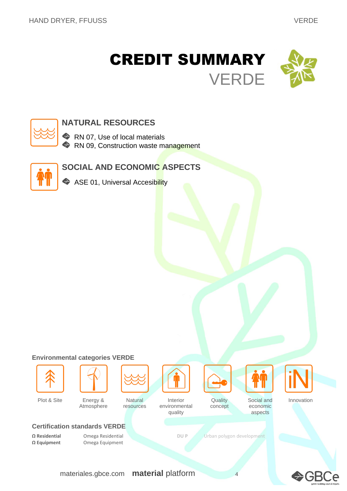<span id="page-3-1"></span><span id="page-3-0"></span>



### **NATURAL RESOURCES**

RN 07, Use of local materials RN 09, Construction waste management



### **SOCIAL AND ECONOMIC ASPECTS**

ASE 01, Universal Accesibility

#### **Environmental categories VERDE**





Plot & Site Energy &

Atmosphere





**Quality** 





Innovation

#### **Certification standards VERDE**

**Ω Equipment** Omega Equipment

**Natural** resources

environmental quality

concept

economic aspects

Social and

**Ω Residential** Omega Residential **DU P** Urban polygon development

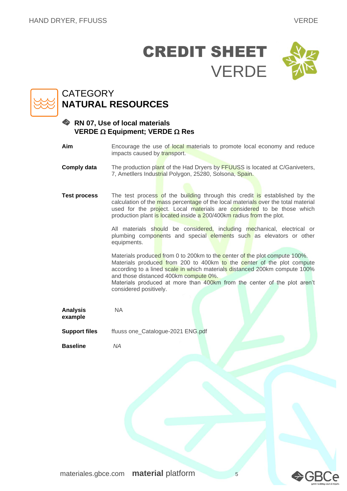

### <span id="page-4-0"></span>**CATEGORY NATURAL RESOURCES**

#### <span id="page-4-1"></span>**RN 07, Use of local materials VERDE**  $\Omega$  **Equipment; VERDE**  $\Omega$  **Res**

**Aim** Encourage the use of local materials to promote local economy and reduce impacts caused by transport.

**Comply data** The production plant of the Had Dryers by FFUUSS is located at C/Ganiveters, 7, Ametllers Industrial Polygon, 25280, Solsona, Spain.

**Test process** The test process of the building through this credit is established by the calculation of the mass percentage of the local materials over the total material used for the project. Local materials are considered to be those which production plant is located inside a 200/400km radius from the plot.

> All materials should be considered, including mechanical, electrical or plumbing components and special elements such as elevators or other equipments.

> Materials produced from 0 to 200km to the center of the plot compute 100%. Materials produced from 200 to 400km to the center of the plot compute according to a lined scale in which materials distanced 200km compute 100% and those distanced 400km compute 0%.

> Materials produced at more than 400km from the center of the plot aren't considered positively.

**Analysis example** NA

**Support files** ffuuss one\_Catalogue-2021 ENG.pdf

**Baseline** *NA*

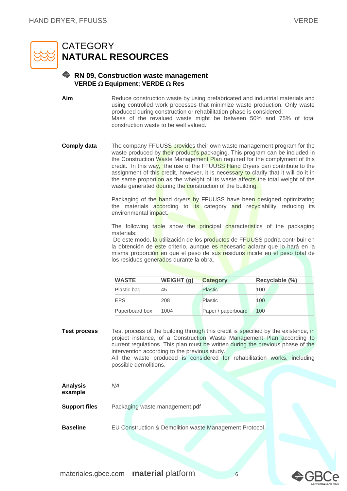

### <span id="page-5-0"></span>**CATEGORY NATURAL RESOURCES**

#### <span id="page-5-1"></span>**RN 09, Construction waste management VERDE**  $\Omega$  **Equipment; VERDE**  $\Omega$  **Res**

**Aim** Reduce construction waste by using prefabricated and industrial materials and using controlled work processes that minimize waste production. Only waste produced during construction or rehabilitation phase is considered. Mass of the revalued waste might be between 50% and 75% of total construction waste to be well valued.

**Comply data** The company FFUUSS provides their own waste management program for the waste produced by their product's packaging. This program can be included in the Construction Waste Management Plan required for the complyment of this credit. In this way, the use of the FFUUSS Hand Dryers can contribute to the assignment of this credit, however, it is necessary to clarify that it will do it in the same proportion as the wheight of its waste affects the total weight of the waste generated douring the construction of the building.

> Packaging of the hand dryers by FFUUSS have been designed optimizating the materials according to its category and recyclability reducing its environmental impact.

> The following table show the principal characteristics of the packaging materials:

> De este modo, la utilización de los productos de FFUUSS podría contribuir en la obtención de este criterio, aunque es necesario aclarar que lo hará en la misma proporción en que el peso de sus residuos incide en el peso total de los residuos generados durante la obra.

| <b>WASTE</b>   | <b>WEIGHT (g)</b> | <b>Category</b>    | Recyclable (%) |  |
|----------------|-------------------|--------------------|----------------|--|
| Plastic bag    | 45                | Plastic            | 100            |  |
| <b>EPS</b>     | 208               | <b>Plastic</b>     | 100            |  |
| Paperboard box | 1004              | Paper / paperboard | 100            |  |

**Test process** Test process of the building through this credit is specified by the existence, in project instance, of a Construction Waste Management Plan according to current regulations. This plan must be written during the previous phase of the intervention according to the previous study. All the waste produced is considered for rehabilitation works, including

possible demolitions.

| <b>Analysis</b><br>example | ΝA                                                     |
|----------------------------|--------------------------------------------------------|
| <b>Support files</b>       | Packaging waste management.pdf                         |
| <b>Baseline</b>            | EU Construction & Demolition waste Management Protocol |

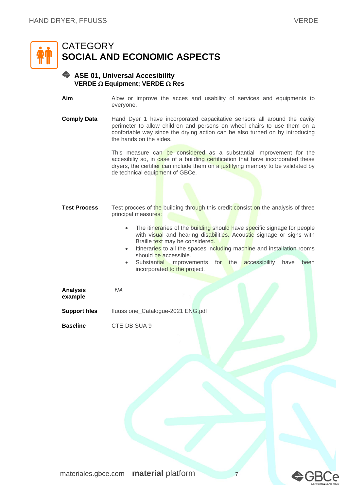

#### <span id="page-6-1"></span><span id="page-6-0"></span>**ASE 01, Universal Accesibility VERDE**  $\Omega$  **Equipment; VERDE**  $\Omega$  **Res**

- **Aim** Alow or improve the acces and usability of services and equipments to everyone.
- **Comply Data** Hand Dyer 1 have incorporated capacitative sensors all around the cavity perimeter to allow children and persons on wheel chairs to use them on a confortable way since the drying action can be also turned on by introducing the hands on the sides.

This measure can be considered as a substantial improvement for the accesibiliy so, in case of a building certification that have incorporated these dryers, the certifier can include them on a justifying memory to be validated by de technical equipment of GBCe.

- **Test Process** Test procces of the building through this credit consist on the analysis of three principal measures:
	- The itineraries of the building should have specific signage for people with visual and hearing disabilities. Acoustic signage or signs with Braille text may be considered.
	- Itineraries to all the spaces including machine and installation rooms should be accessible.
	- Substantial improvements for the accessibility have been incorporated to the project.

**Analysis example**

**Support files** ffuuss one\_Catalogue-2021 ENG.pdf

*NA*

**Baseline** CTE-DB SUA 9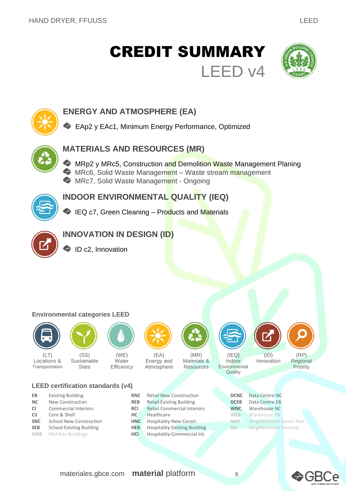## <span id="page-7-0"></span>CREDIT SUMMARY LEED v4





### **ENERGY AND ATMOSPHERE (EA)**

EAp2 y EAc1, Minimum Energy Performance, Optimized



### **MATERIALS AND RESOURCES (MR)**

**MRp2 y MRc5, Construction and Demolition Waste Management Planing MRc6, Solid Waste Management** – Waste stream management **MRc7, Solid Waste Management - Ongoing** 



### **INDOOR ENVIRONMENTAL QUALITY (IEQ)**

IEQ c7, Green Cleaning – Products and Materials



### **INNOVATION IN DESIGN (ID)**

ID c2, Innovation

#### **Environmental categories LEED**



 $(LT)$ 



Locations & **Transportation** (SS) **Sustainable Sites** 



(WE) **Water Efficiency** 



(EA) Energy and Atmosphere



**Resources** 

 $(IEO)$ 

Indoor **Environmental** Quality



Innovation



(RP) Regional **Priority** 

#### **LEED certification standards (v4)**

- **EB** Existing Building **RNC** Retail New Construction
- **NC** New Construction **REB** Retail Existing Building **CI** Commercial Interiors **RCI** Retail Commercial Inte
- 
- 
- 
- 
- **CI** Commercial Interiors **RCI** Retail Commercial Interiors **CS** Core & Shell **HC** Healthcare **WEB** Warehouse EB **SNC** School New Construction **HNC** Hospitality-New Constr. **SEB** School Existing Building **HEB** Hospitality-Existing Building **MRB** Mid Rise Buildings **HCI** Hospitality-Commercial Int.

| <b>DCNC</b> | Data Centre NC           |
|-------------|--------------------------|
| <b>DCEB</b> | Data Centre EB           |
| <b>WNC</b>  | Warehouse NC             |
| WEB         | <b>Warehouse EB</b>      |
| NDP         | Neighborhood Devel. Plan |
| ND          | Neighborhood Develop.    |
|             |                          |

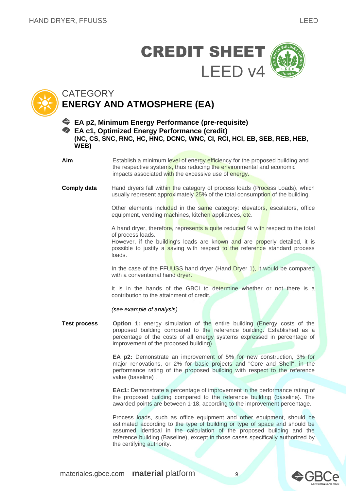



### <span id="page-8-0"></span>**CATEGORY ENERGY AND ATMOSPHERE (EA)**

<span id="page-8-2"></span><span id="page-8-1"></span>**EA p2, Minimum Energy Performance (pre-requisite) EA c1, Optimized Energy Performance (credit)**

**(NC, CS, SNC, RNC, HC, HNC, DCNC, WNC, CI, RCI, HCI, EB, SEB, REB, HEB, WEB)**

**Aim** Establish a minimum level of energy efficiency for the proposed building and the respective systems, thus reducing the environmental and economic impacts associated with the excessive use of energy.

**Comply data** Hand dryers fall within the category of process loads (Process Loads), which usually represent approximately 25% of the total consumption of the building.

> Other elements included in the same category: elevators, escalators, office equipment, vending machines, kitchen appliances, etc.

> A hand dryer, therefore, represents a quite reduced % with respect to the total of process loads.

> However, if the building's loads are known and are properly detailed, it is possible to justify a saving with respect to the reference standard process loads.

> In the case of the FFUUSS hand dryer (Hand Dryer 1), it would be compared with a conventional hand dryer.

> It is in the hands of the GBCI to determine whether or not there is a contribution to the attainment of credit.

*(see example of analysis)*

**Test process Option 1:** energy simulation of the entire building (Energy costs of the proposed building compared to the reference building. Established as a percentage of the costs of all energy systems expressed in percentage of improvement of the proposed building)

> **EA p2:** Demonstrate an improvement of 5% for new construction, 3% for major renovations, or 2% for basic projects and "Core and Shell", in the performance rating of the proposed building with respect to the reference value (baseline) .

> **EAc1:** Demonstrate a percentage of improvement in the performance rating of the proposed building compared to the reference building (baseline). The awarded points are between 1-18, according to the improvement percentage.

> Process loads, such as office equipment and other equipment, should be estimated according to the type of building or type of space and should be assumed identical in the calculation of the proposed building and the reference building (Baseline), except in those cases specifically authorized by the certifying authority.



— GK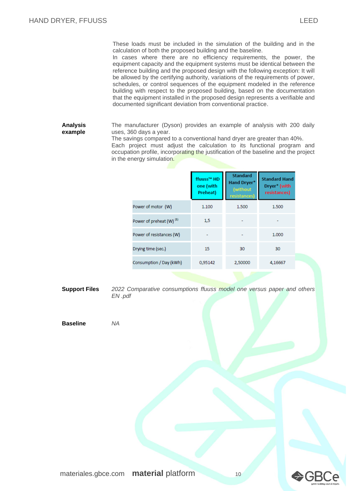These loads must be included in the simulation of the building and in the calculation of both the proposed building and the baseline.

In cases where there are no efficiency requirements, the power, the equipment capacity and the equipment systems must be identical between the reference building and the proposed design with the following exception: It will be allowed by the certifying authority, variations of the requirements of power, schedules, or control sequences of the equipment modeled in the reference building with respect to the proposed building, based on the documentation that the equipment installed in the proposed design represents a verifiable and documented significant deviation from conventional practice.

**Analysis example** The manufacturer (Dyson) provides an example of analysis with 200 daily uses, 360 days a year.

> The savings compared to a conventional hand dryer are greater than 40%. Each project must adjust the calculation to its functional program and occupation profile, incorporating the justification of the baseline and the project in the energy simulation.

|                                     | ffuuss™ HD<br>one (with<br>Preheat) | <b>Standard</b><br><b>Hand Dryer*</b><br>(without)<br>resistances) | <b>Standard Hand</b><br>Dryer* (with<br>resistances) |
|-------------------------------------|-------------------------------------|--------------------------------------------------------------------|------------------------------------------------------|
| Power of motor (W)                  | 1.100                               | 1.500                                                              | 1.500                                                |
| Power of preheat (W) <sup>(1)</sup> | 1,5                                 |                                                                    |                                                      |
| Power of resistances (W)            |                                     |                                                                    | 1.000                                                |
| Drying time (sec.)                  | 15                                  | 30                                                                 | 30                                                   |
| Consumption / Day (kWh)             | 0,95142                             | 2,50000                                                            | 4,16667                                              |

**Support Files** *2022 Comparative consumptions ffuuss model one versus paper and others EN .pdf*

**Baseline** *NA*

<del>©</del>GBCe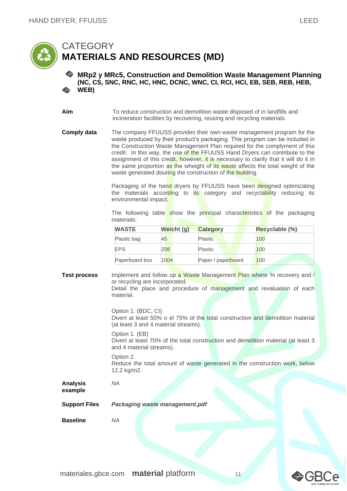

#### <span id="page-10-1"></span><span id="page-10-0"></span>**MRp2 y MRc5, Construction and Demolition Waste Management Planning (NC, CS, SNC, RNC, HC, HNC, DCNC, WNC, CI, RCI, HCI, EB, SEB, REB, HEB, WEB)**

**Aim** To reduce construction and demolition waste disposed of in landfills and incineration facilities by recovering, reusing and recycling materials.

**Comply data** The company FFUUSS provides their own waste management program for the waste produced by their product's packaging. This program can be included in the Construction Waste Management Plan required for the complyment of this credit. In this way, the use of the FFUUSS Hand Dryers can contribute to the assignment of this credit, however, it is necessary to clarify that it will do it in the same proportion as the wheight of its waste affects the total weight of the waste generated douring the construction of the building.

> Packaging of the hand dryers by FFUUSS have been designed optimizating the materials according to its category and recyclability reducing its environmental impact.

> The following table show the principal characteristics of the packaging materials:

| <b>WASTE</b>   | Weicht (g) | <b>Category</b>    | Recyclable (%) |
|----------------|------------|--------------------|----------------|
| Plastic bag    | 45         | <b>Plastic</b>     | 100            |
| <b>EPS</b>     | 208        | Plastic            | 100            |
| Paperboard box | 1004       | Paper / paperboard | 100            |

**Test process** Implement and follow up a Waste Management Plan where % recovery and / or recycling are incorporated. Detail the place and procedure of management and revaluation of each material.

> Option 1. (BDC, CI) Divert at least 50% o el 75% of the total construction and demolition material (at least 3 and 4 material streams).

> Option 1. (EB) Divert at least 70% of the total construction and demolition material (at least 3 and 4 material streams).

Option 2. Reduce the total amount of waste generated in the construction work, below 12,2 kg/m2.

**Analysis example** *NA*

**Support Files** *Packaging waste management.pdf*

**Baseline** *NA*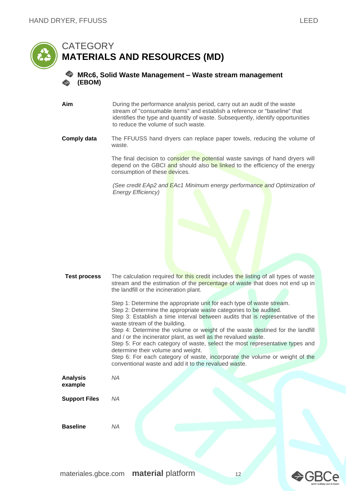<span id="page-11-0"></span>

#### <span id="page-11-1"></span>**MRc6, Solid Waste Management – Waste stream management (EBOM)**

**Aim** During the performance analysis period, carry out an audit of the waste stream of "consumable items" and establish a reference or "baseline" that identifies the type and quantity of waste. Subsequently, identify opportunities to reduce the volume of such waste.

#### **Comply data** The FFUUSS hand dryers can replace paper towels, reducing the volume of waste.

The final decision to consider the potential waste savings of hand dryers will depend on the GBCI and should also be linked to the efficiency of the energy consumption of these devices.

*(See credit EAp2 and EAc1 Minimum energy performance and Optimization of Energy Efficiency)*

| <b>Test process</b> | The calculation required for this credit includes the listing of all types of waste |
|---------------------|-------------------------------------------------------------------------------------|
|                     | stream and the estimation of the percentage of waste that does not end up in        |
|                     | the landfill or the incineration plant.                                             |

Step 1: Determine the appropriate unit for each type of waste stream. Step 2: Determine the appropriate waste categories to be audited. Step 3: Establish a time interval between audits that is representative of the waste stream of the building. Step 4: Determine the volume or weight of the waste destined for the landfill and / or the incinerator plant, as well as the revalued waste. Step 5: For each category of waste, select the most representative types and determine their volume and weight. Step 6: For each category of waste, incorporate the volume or weight of the conventional waste and add it to the revalued waste. *NA* **Support Files** *NA*

**Baseline** *NA*

**Analysis example**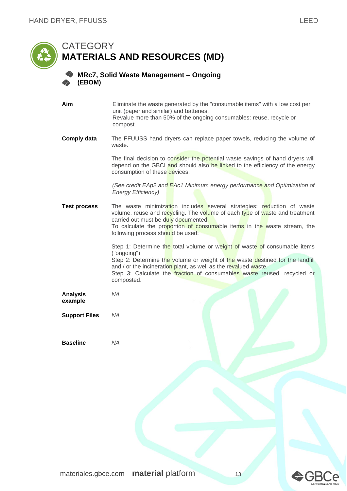<span id="page-12-0"></span>

<span id="page-12-1"></span>unit (paper and similar) and batteries. Revalue more than 50% of the ongoing consumables: reuse, recycle or compost. **Comply data** The FFUUSS hand dryers can replace paper towels, reducing the volume of waste. The final decision to consider the potential waste savings of hand dryers will depend on the GBCI and should also be linked to the efficiency of the energy consumption of these devices. *(See credit EAp2 and EAc1 Minimum energy performance and Optimization of Energy Efficiency)* **Test process** The waste minimization includes several strategies: reduction of waste volume, reuse and recycling. The volume of each type of waste and treatment carried out must be duly documented. To calculate the proportion of consumable items in the waste stream, the following process should be used: Step 1: Determine the total volume or weight of waste of consumable items ("ongoing") Step 2: Determine the volume or weight of the waste destined for the landfill and / or the incineration plant, as well as the revalued waste. Step 3: Calculate the **fraction** of consumables waste reused, recycled or composted. **Analysis example** *NA* **Support Files** *NA* **Baseline** *NA*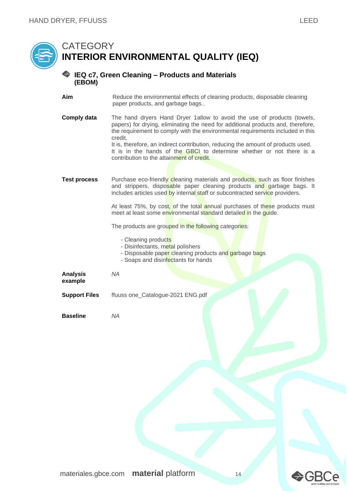## <span id="page-13-0"></span>**CATEGORY INTERIOR ENVIRONMENTAL QUALITY (IEQ)**

#### <span id="page-13-1"></span>**IEQ c7, Green Cleaning – Products and Materials (EBOM)**

- **Aim** Reduce the environmental effects of cleaning products, disposable cleaning paper products, and garbage bags..
- **Comply data** The hand dryers Hand Dryer 1allow to avoid the use of products (towels, papers) for drying, eliminating the need for additional products and, therefore, the requirement to comply with the environmental requirements included in this credit. It is, therefore, an indirect contribution, reducing the amount of products used. It is in the hands of the GBCI to determine whether or not there is a

contribution to the attainment of credit.

**Test process** Purchase eco-friendly cleaning materials and products, such as floor finishes and strippers, disposable paper cleaning products and garbage bags. It includes articles used by internal staff or subcontracted service providers.

> At least 75%, by cost, of the total annual purchases of these products must meet at least some environmental standard detailed in the guide.

The products are grouped in the following categories:

- Cleaning products
- Disinfectants, metal polishers
- Disposable paper cleaning products and garbage bags
- Soaps and disinfectants for hands

**Analysis example** *NA*

**Support Files** ffuuss one\_Catalogue-2021 ENG.pdf

**Baseline** *NA*

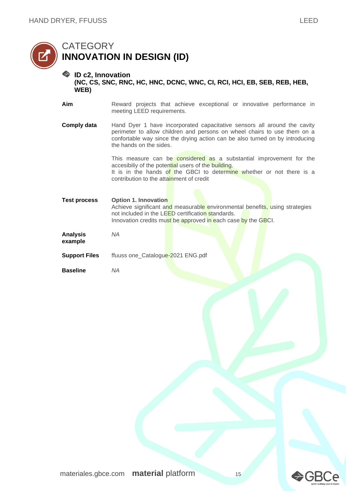

#### <span id="page-14-1"></span><span id="page-14-0"></span>**ID c2, Innovation (NC, CS, SNC, RNC, HC, HNC, DCNC, WNC, CI, RCI, HCI, EB, SEB, REB, HEB, WEB)**

| Aim |                            |  |  | Reward projects that achieve exceptional or innovative performance in |  |
|-----|----------------------------|--|--|-----------------------------------------------------------------------|--|
|     | meeting LEED requirements. |  |  |                                                                       |  |

**Comply data** Hand Dyer 1 have incorporated capacitative sensors all around the cavity perimeter to allow children and persons on wheel chairs to use them on a confortable way since the drying action can be also turned on by introducing the hands on the sides.

> This measure can be considered as a substantial improvement for the accesibiliy of the potential users of the building. It is in the hands of the GBCI to determine whether or not there is a contribution to the attainment of credit

| Test process | <b>Option 1. Innovation</b>                                                 |
|--------------|-----------------------------------------------------------------------------|
|              | Achieve significant and measurable environmental benefits, using strategies |
|              | not included in the LEED certification standards.                           |
|              | Innovation credits must be approved in each case by the GBCI.               |
|              |                                                                             |
| Analysis     | NA                                                                          |

| <b>Analysis</b> | N, |
|-----------------|----|
| example         |    |

**Support Files** ffuuss one\_Catalogue-2021 ENG.pdf

**Baseline** *NA*



**>GBCe**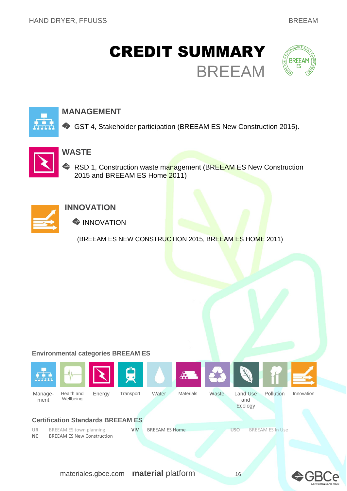## <span id="page-15-0"></span>CREDIT SUMMARY BREEAM





### **MANAGEMENT**

GST 4, Stakeholder participation (BREEAM ES New Construction 2015).



### **WASTE**

RSD 1, Construction waste management (BREEAM ES New Construction 2015 and BREEAM ES Home 2011)



### **INNOVATION**

**WINNOVATION** 

(BREEAM ES NEW CONSTRUCTION 2015, BREEAM ES HOME 2011)

#### **Environmental categories BREEAM ES**



**AGRCG**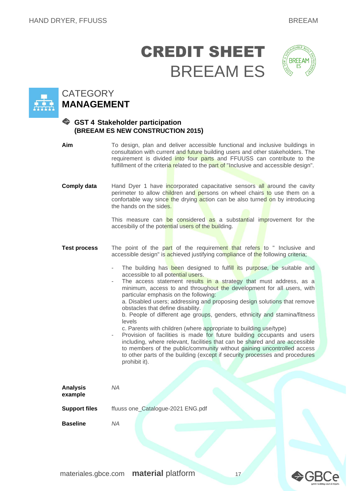## CREDIT SHEET BREEAM ES





### <span id="page-16-0"></span>**CATEGORY MANAGEMENT**

#### <span id="page-16-1"></span>**GST 4 Stakeholder participation (BREEAM ES NEW CONSTRUCTION 2015)**

| Aim                        | To design, plan and deliver accessible functional and inclusive buildings in<br>consultation with current and future building users and other stakeholders. The<br>requirement is divided into four parts and FFUUSS can contribute to the<br>fulfillment of the criteria related to the part of "Inclusive and accessible design".                                                                                                                                                                                                                                                                                                                                                                                                                                                                                                                                                                                                                                                                                                                                                       |  |  |  |  |  |
|----------------------------|-------------------------------------------------------------------------------------------------------------------------------------------------------------------------------------------------------------------------------------------------------------------------------------------------------------------------------------------------------------------------------------------------------------------------------------------------------------------------------------------------------------------------------------------------------------------------------------------------------------------------------------------------------------------------------------------------------------------------------------------------------------------------------------------------------------------------------------------------------------------------------------------------------------------------------------------------------------------------------------------------------------------------------------------------------------------------------------------|--|--|--|--|--|
| <b>Comply data</b>         | Hand Dyer 1 have incorporated capacitative sensors all around the cavity<br>perimeter to allow children and persons on wheel chairs to use them on a<br>confortable way since the drying action can be also turned on by introducing<br>the hands on the sides.<br>This measure can be considered as a substantial improvement for the<br>accesibiliy of the potential users of the building.                                                                                                                                                                                                                                                                                                                                                                                                                                                                                                                                                                                                                                                                                             |  |  |  |  |  |
| <b>Test process</b>        | The point of the part of the requirement that refers to " Inclusive and<br>accessible design" is achieved justifying compliance of the following criteria;<br>The building has been designed to fulfill its purpose, be suitable and<br>ä,<br>accessible to all potential users.<br>The access statement results in a strategy that must address, as a<br>minimum, access to and throughout the development for all users, with<br>particular emphasis on the following:<br>a. Disabled users; addressing and proposing design solutions that remove<br>obstacles that define disability.<br>b. People of different age groups, genders, ethnicity and stamina/fitness<br>levels<br>c. Parents with children (where appropriate to building use/type)<br>Provision of facilities is made for future building occupants and users<br>including, where relevant, facilities that can be shared and are accessible<br>to members of the public/community without gaining uncontrolled access<br>to other parts of the building (except if security processes and procedures<br>prohibit it). |  |  |  |  |  |
| <b>Analysis</b><br>example | <b>NA</b>                                                                                                                                                                                                                                                                                                                                                                                                                                                                                                                                                                                                                                                                                                                                                                                                                                                                                                                                                                                                                                                                                 |  |  |  |  |  |
| <b>Support files</b>       | ffuuss one_Catalogue-2021 ENG.pdf                                                                                                                                                                                                                                                                                                                                                                                                                                                                                                                                                                                                                                                                                                                                                                                                                                                                                                                                                                                                                                                         |  |  |  |  |  |
| <b>Baseline</b>            | <b>NA</b>                                                                                                                                                                                                                                                                                                                                                                                                                                                                                                                                                                                                                                                                                                                                                                                                                                                                                                                                                                                                                                                                                 |  |  |  |  |  |

**◆GBCe**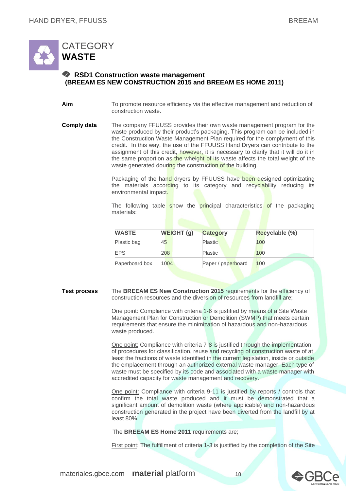

#### <span id="page-17-1"></span><span id="page-17-0"></span>**RSD1 Construction waste management (BREEAM ES NEW CONSTRUCTION 2015 and BREEAM ES HOME 2011)**

**Aim** To promote resource efficiency via the effective management and reduction of construction waste.

**Comply data** The company FFUUSS provides their own waste management program for the waste produced by their product's packaging. This program can be included in the Construction Waste Management Plan required for the complyment of this credit. In this way, the use of the FFUUSS Hand Dryers can contribute to the assignment of this credit, however, it is necessary to clarify that it will do it in the same proportion as the wheight of its waste affects the total weight of the waste generated douring the construction of the building.

> Packaging of the hand dryers by FFUUSS have been designed optimizating the materials according to its category and recyclability reducing its environmental impact.

> The following table show the **principal** characteristics of the packaging materials:

| <b>WASTE</b>   | <b>WEIGHT (g)</b> | <b>Category</b>    | Recyclable (%) |
|----------------|-------------------|--------------------|----------------|
| Plastic bag    | 45                | <b>Plastic</b>     | 100            |
| <b>EPS</b>     | 208               | <b>Plastic</b>     | 100            |
| Paperboard box | 1004              | Paper / paperboard | 100            |

**Test process** The **BREEAM ES New Construction 2015** requirements for the efficiency of construction resources and the diversion of resources from landfill are;

> One point: Compliance with criteria 1-6 is justified by means of a Site Waste Management Plan for Construction or Demolition (SWMP) that meets certain requirements that ensure the minimization of hazardous and non-hazardous waste produced.

One point: Compliance with criteria 7-8 is justified through the implementation of procedures for classification, reuse and recycling of construction waste of at least the fractions of waste identified in the current legislation, inside or outside the emplacement through an authorized external waste manager. Each type of waste must be specified by its code and associated with a waste manager with accredited capacity for waste management and recovery.

One point: Compliance with criteria 9-11 is justified by reports / controls that confirm the total waste produced and it must be demonstrated that a significant amount of demolition waste (where applicable) and non-hazardous construction generated in the project have been diverted from the landfill by at least 80%.

The **BREEAM ES Home 2011** requirements are;

First point: The fulfillment of criteria 1-3 is justified by the completion of the Site



D (5H)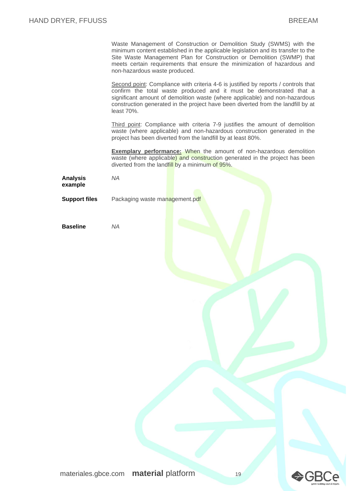Waste Management of Construction or Demolition Study (SWMS) with the minimum content established in the applicable legislation and its transfer to the Site Waste Management Plan for Construction or Demolition (SWMP) that meets certain requirements that ensure the minimization of hazardous and non-hazardous waste produced.

Second point: Compliance with criteria 4-6 is justified by reports / controls that confirm the total waste produced and it must be demonstrated that a significant amount of demolition waste (where applicable) and non-hazardous construction generated in the project have been diverted from the landfill by at least 70%.

Third point: Compliance with criteria 7-9 justifies the amount of demolition waste (where applicable) and non-hazardous construction generated in the project has been diverted from the landfill by at least 80%.

**Exemplary performance:** When the amount of non-hazardous demolition waste (where applicable) and construction generated in the project has been diverted from the landfill by a minimum of 95%.

| <b>Analysis</b> | NA |
|-----------------|----|
| example         |    |

**Support files** Packaging waste management.pdf

**Baseline** *NA*



**⇔**GBCe